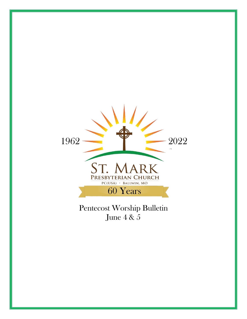

Pentecost Worship Bulletin June 4 & 5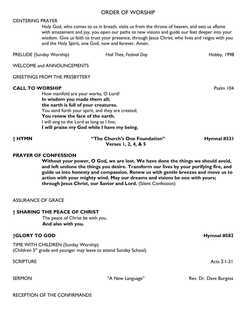#### ORDER OF WORSHIP

#### CENTERING PRAYER

Holy God, who comes to us in breath, visits us from the throne of heaven, and sets us aflame with amazement and joy, you open our paths to new visions and guide our feet deeper into your wisdom. Give us faith to trust your presence, through Jesus Christ, who lives and reigns with you and the Holy Spirit, one God, now and forever. Amen.

| <b>PRELUDE</b> (Sunday Worship)                                                                                                                                                                                                                                                                                              | Hail Thee, Festival Day | Hobby, 1998 |
|------------------------------------------------------------------------------------------------------------------------------------------------------------------------------------------------------------------------------------------------------------------------------------------------------------------------------|-------------------------|-------------|
| <b>WELCOME and ANNOUNCEMENTS</b>                                                                                                                                                                                                                                                                                             |                         |             |
| <b>GREETINGS FROM THE PRESBYTERY</b>                                                                                                                                                                                                                                                                                         |                         |             |
| <b>CALL TO WORSHIP</b><br>How manifold are your works, O Lord!<br>In wisdom you made them all;<br>the earth is full of your creatures.<br>You send forth your spirit, and they are created;<br>You renew the face of the earth.<br>I will sing to the Lord as long as I live;<br>I will praise my God while I have my being. |                         | Psalm 104   |

**† HYMN "The Church's One Foundation" Hymnal #321 Verses 1, 2, 4, & 5**

#### **PRAYER OF CONFESSION**

**Without your power, O God, we are lost. We have done the things we should avoid, and left undone the things you desire. Transform our lives by your purifying fire, and guide us into honesty and compassion. Renew us with gentle breezes and move us to action with your mighty wind. May our dreams and visions be one with yours; through Jesus Christ, our Savior and Lord.** (Silent Confession)

#### ASSURANCE OF GRACE

#### **† SHARING THE PEACE OF CHRIST**

The peace of Christ be with you. **And also with you.**

#### **†GLORY TO GOD Hymnal #582**

TIME WITH CHILDREN (Sunday Worship) (Children  $5<sup>th</sup>$  grade and younger may leave to attend Sunday School)

SCRIPTURE Acts 2:1-21

SERMON "A New Language" Rev. Dr. Dave Burgess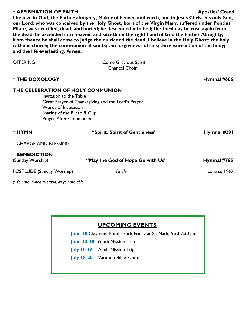#### **† AFFIRMATION OF FAITH Apostles' Creed**

**I believe in God, the Father almighty, Maker of heaven and earth, and in Jesus Christ his only Son, our Lord; who was conceived by the Holy Ghost, born of the Virgin Mary, suffered under Pontius Pilate, was crucified, dead, and buried; he descended into hell; the third day he rose again from the dead; he ascended into heaven, and sitteth on the right hand of God the Father Almighty; from thence he shall come to judge the quick and the dead. I believe in the Holy Ghost; the holy catholic church; the communion of saints; the forgiveness of sins; the resurrection of the body; and the life everlasting. Amen.** 

| <b>OFFERING</b>                                                                                                                              | <b>Come Gracious Spirit</b><br><b>Chancel Choir</b> |              |
|----------------------------------------------------------------------------------------------------------------------------------------------|-----------------------------------------------------|--------------|
| † THE DOXOLOGY                                                                                                                               |                                                     | Hymnal #606  |
| THE CELEBRATION OF HOLY COMMUNION<br>Invitation to the Table<br>Words of Institution<br>Sharing of the Bread & Cup<br>Prayer After Communion | Great Prayer of Thanksgiving and the Lord's Prayer  |              |
| † HYMN                                                                                                                                       | "Spirit, Spirit of Gentleness"                      | Hymnal #291  |
| † CHARGE AND BLESSING                                                                                                                        |                                                     |              |
| † BENEDICTION<br>(Sunday Worship)                                                                                                            | "May the God of Hope Go with Us"                    | Hymnal #765  |
| POSTLUDE (Sunday Worship)                                                                                                                    | Finale                                              | Lorenz, 1969 |
| † You are invited to stand, as you are able                                                                                                  |                                                     |              |

## **UPCOMING EVENTS**

**June 10** Claymont Food Truck Friday at St. Mark, 5:30-7:30 pm

- **June 12-18** Youth Mission Trip
- **July 10-16** Adult Mission Trip
- **July 18-20** Vacation Bible School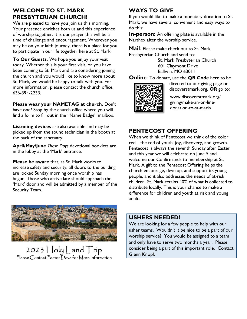## **WELCOME TO ST. MARK PRESBYTERIAN CHURCH!**

We are pleased to have you join us this morning. Your presence enriches both us and this experience of worship together. It is our prayer this will be a time of challenge and encouragement. Wherever you may be on your faith journey, there is a place for you to participate in our life together here at St. Mark.

**To Our Guests.** We hope you enjoy your visit today. Whether this is your first visit, or you have been coming to St. Mark and are considering joining the church and you would like to know more about St. Mark, we would be happy to talk with you. For more information, please contact the church office, 636-394-2233.

**Please wear your NAMETAG at church.** Don't have one? Stop by the church office where you will find a form to fill out in the "Name Badge" mailbox.

**Listening devices** are also available and may be picked up from the sound technician in the booth at the back of the sanctuary.

**April/May/June** *These Days* devotional booklets are in the lobby at the 'Mark' entrance.

**Please be aware** that, as St. Mark works to increase safety and security, all doors to the building are locked Sunday morning once worship has begun. Those who arrive late should approach the 'Mark' door and will be admitted by a member of the Security Team.



2023  $\operatorname{\mathsf{Holy}}$  Land  $\operatorname{\mathsf{Trip}}$ Please Contact Pastor Dave for More Information

# **WAYS TO GIVE**

If you would like to make a monetary donation to St. Mark, we have several convenient and easy ways to do this:

**In-person:** An offering plate is available in the Narthex after the worship service.

**Mail**: Please make check out to St. Mark Presbyterian Church and send to:

> St. Mark Presbyterian Church 601 Claymont Drive Ballwin, MO 63011

**Online**: To donate, use the **QR Code** here to be



directed to our giving page on discoverstmark.org, **OR** go to:

www.discoverstmark.org/ giving/make-an-on-linedonation-to-st-mark/

## **PENTECOST OFFERING**

When we think of Pentecost we think of the color red—the red of youth, joy, discovery, and growth. Pentecost is always the seventh Sunday after Easter and this year we will celebrate on June 5 and welcome our Confirmands to membership at St. Mark. A gift to the Pentecost Offering helps the church encourage, develop, and support its young people, and it also addresses the needs of at-risk children. St. Mark retains 40% of what is collected to distribute locally. This is your chance to make a difference for children and youth at risk and young adults.

#### **USHERS NEEDED!**

We are looking for a few people to help with our usher teams. Wouldn't it be nice to be a part of our worship service? You would be assigned to a team and only have to serve two months a year. Please consider being a part of this important role. Contact Glenn Knopf.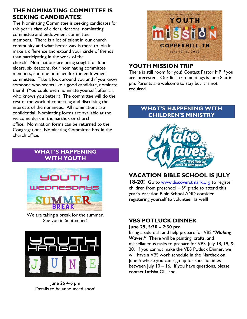## **THE NOMINATING COMMITTEE IS SEEKING CANDIDATES!**

The Nominating Committee is seeking candidates for this year's class of elders, deacons, nominating committee and endowment committee members. There is a lot of talent in our church community and what better way is there to join in, make a difference and expand your circle of friends than participating in the work of the church! Nominations are being sought for four elders, six deacons, four nominating committee members, and one nominee for the endowment committee. Take a look around you and if you know someone who seems like a good candidate, nominate them! (You could even nominate yourself, after all, who knows you better!) The committee will do the rest of the work of contacting and discussing the interests of the nominees. All nominations are confidential. Nominating forms are available at the welcome desk in the narthex or church office. Nomination forms can be returned to the Congregational Nominating Committee box in the church office.

## **WHAT'S HAPPENING WITH YOUTH**



We are taking a break for the summer. See you in September!



June 26 4-6 pm Details to be announced soon!



## **YOUTH MISSION TRIP**

There is still room for you! Contact Pastor MP if you are interested. Our final trip meetings is June 8 at 6 pm. Parents are welcome to stay but it is not required

## **WHAT'S HAPPENING WITH CHILDREN'S MINISTRY**



# **VACATION BIBLE SCHOOL IS JULY**

**18-20!** Go to [www.discoverstmark.org](http://www.discoverstmark.org/) to register children from preschool  $-5<sup>th</sup>$  grade to attend this year's Vacation Bible School AND consider registering yourself to volunteer as well!

#### **VBS POTLUCK DINNER June 29, 5:30 – 7:30 pm**

Bring a side dish and help prepare for VBS *"Making Waves."* There will be painting, crafts, and miscellaneous tasks to prepare for VBS, July 18, 19, & 20. If you cannot make the VBS Potluck Dinner, we will have a VBS work schedule in the Narthex on June 5 where you can sign up for specific times between July 10 – 16. If you have questions, please contact Latisha Gilliland.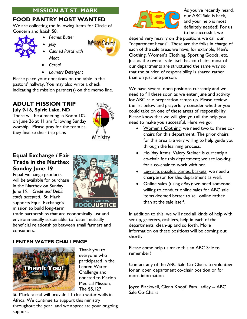## **MISSION AT ST. MARK**

## **FOOD PANTRY MOST WANTED**

We are collecting the following items for Circle of Concern and Isaiah 58:

- 
- *Peanut Butter* • *Jelly*



- *Meat*
- *Cereal*
- *Laundry Detergent*

• *Canned Pasta with* 

Please place your donations on the table in the pastors' hallway. You may also write a check indicating the mission partner(s) on the memo line.

# **ADULT MISSION TRIP**

**July 9-16, Spirit Lake, ND** There will be a meeting in Room 102 on June 26 at 11 am following Sunday worship. Please pray for the team as they finalize their trip plans



## **Equal Exchange / Fair Trade in the Narthex Sunday June 19**

Equal Exchange products will be available for purchase in the Narthex on Sunday June 19. *Credit and Debit cards accepted*. St. Mark supports Equal Exchange's mission to build long-term



trade partnerships that are economically just and environmentally sustainable, to foster mutually beneficial relationships between small farmers and consumers.

#### **LENTEN WATER CHALLENGE**



Thank you to everyone who participated in the Lenten Water Challenge and donated to Marion Medical Mission. The \$5,127

St. Mark raised will provide 11 clean water wells in Africa. We continue to support this ministry throughout the year, and we appreciate your ongoing support.



As you've recently heard, our ABC Sale is back, and your help is most definitely needed! For us to be successful, we

depend very heavily on the positions we call our "department heads". These are the folks in charge of each of the sale areas we have, for example, Men's Clothing, Women's Clothing, Sporting Goods, etc. Just as the overall sale itself has co-chairs, most of our departments are structured the same way so that the burden of responsibility is shared rather than on just one person.

We have several open positions currently and we need to fill these soon as we enter June and activity for ABC sale preparation ramps up. Please review the list below and prayerfully consider whether you could take on one of these areas of responsibility. Please know that we will give you all the help you need to make you successful. Here we go:

- Women's Clothing: we need two to three cochairs for this department. The prior chairs for this area are very willing to help guide you through the learning process.
- Holiday Items: Valery Steiner is currently a co-chair for this department; we are looking for a co-chair to work with her.
- Luggage, puzzles, games, baskets: we need a chairperson for this department as well.
- Online sales (using eBay): we need someone willing to conduct online sales for ABC sale items deemed better to sell online rather than at the sale itself.

In addition to this, we will need all kinds of help with set-up, greeters, cashiers, help in each of the departments, clean-up and so forth. More information on these positions will be coming out shortly.

Please come help us make this an ABC Sale to remember!

Contact any of the ABC Sale Co-Chairs to volunteer for an open department co-chair position or for more information.

Joyce Blackwell, Glenn Knopf, Pam Ladley -- ABC Sale Co-Chairs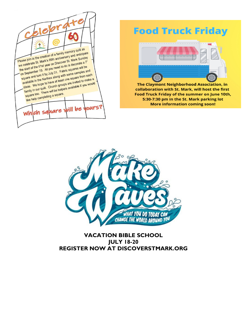

# **Food Truck Friday**



The Claymont Neighborhood Association, in collaboration with St. Mark, will host the first Food Truck Friday of the summer on June 10th, 5:30-7:30 pm in the St. Mark parking lot **More information coming soon!** 



**VACATION BIBLE SCHOOL JULY 18-20 REGISTER NOW AT DISCOVERSTMARK.ORG**